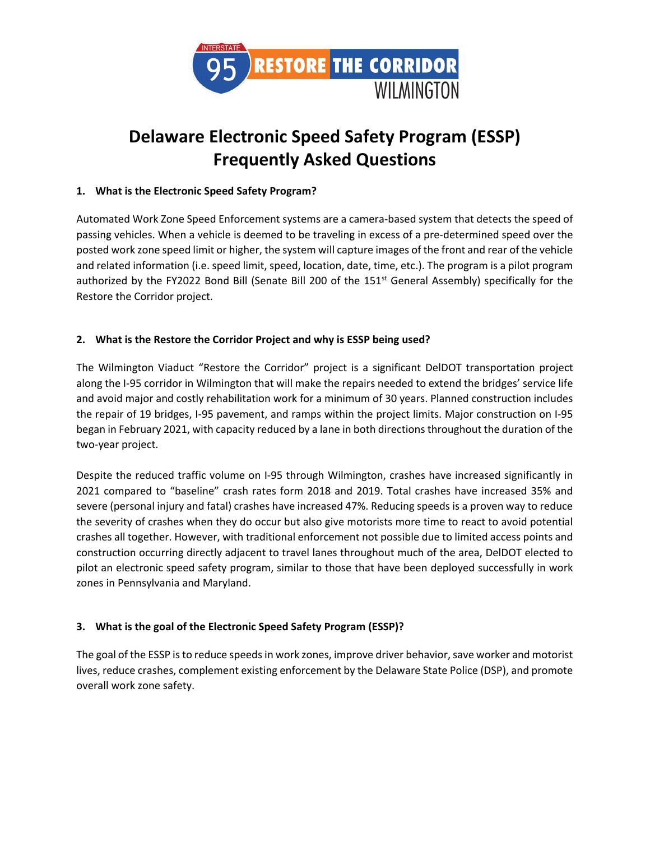

# **Delaware Electronic Speed Safety Program (ESSP) Frequently Asked Questions**

# **1. What is the Electronic Speed Safety Program?**

Automated Work Zone Speed Enforcement systems are a camera-based system that detects the speed of passing vehicles. When a vehicle is deemed to be traveling in excess of a pre-determined speed over the posted work zone speed limit or higher, the system will capture images of the front and rear of the vehicle and related information (i.e. speed limit, speed, location, date, time, etc.). The program is a pilot program authorized by the FY2022 Bond Bill (Senate Bill 200 of the 151<sup>st</sup> General Assembly) specifically for the Restore the Corridor project.

# **2. What is the Restore the Corridor Project and why is ESSP being used?**

The Wilmington Viaduct "Restore the Corridor" project is a significant DelDOT transportation project along the I-95 corridor in Wilmington that will make the repairs needed to extend the bridges' service life and avoid major and costly rehabilitation work for a minimum of 30 years. Planned construction includes the repair of 19 bridges, I-95 pavement, and ramps within the project limits. Major construction on I-95 began in February 2021, with capacity reduced by a lane in both directions throughout the duration of the two-year project.

Despite the reduced traffic volume on I-95 through Wilmington, crashes have increased significantly in 2021 compared to "baseline" crash rates form 2018 and 2019. Total crashes have increased 35% and severe (personal injury and fatal) crashes have increased 47%. Reducing speeds is a proven way to reduce the severity of crashes when they do occur but also give motorists more time to react to avoid potential crashes all together. However, with traditional enforcement not possible due to limited access points and construction occurring directly adjacent to travel lanes throughout much of the area, DelDOT elected to pilot an electronic speed safety program, similar to those that have been deployed successfully in work zones in Pennsylvania and Maryland.

# **3. What is the goal of the Electronic Speed Safety Program (ESSP)?**

The goal of the ESSP is to reduce speeds in work zones, improve driver behavior, save worker and motorist lives, reduce crashes, complement existing enforcement by the Delaware State Police (DSP), and promote overall work zone safety.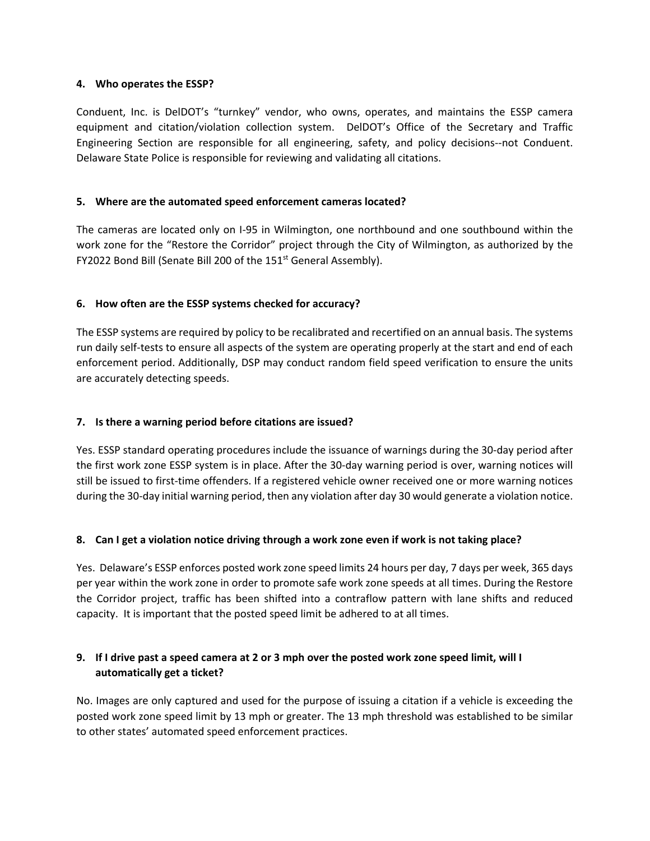## **4. Who operates the ESSP?**

Conduent, Inc. is DelDOT's "turnkey" vendor, who owns, operates, and maintains the ESSP camera equipment and citation/violation collection system. DelDOT's Office of the Secretary and Traffic Engineering Section are responsible for all engineering, safety, and policy decisions--not Conduent. Delaware State Police is responsible for reviewing and validating all citations.

## **5. Where are the automated speed enforcement cameras located?**

The cameras are located only on I-95 in Wilmington, one northbound and one southbound within the work zone for the "Restore the Corridor" project through the City of Wilmington, as authorized by the FY2022 Bond Bill (Senate Bill 200 of the 151<sup>st</sup> General Assembly).

## **6. How often are the ESSP systems checked for accuracy?**

The ESSP systems are required by policy to be recalibrated and recertified on an annual basis. The systems run daily self-tests to ensure all aspects of the system are operating properly at the start and end of each enforcement period. Additionally, DSP may conduct random field speed verification to ensure the units are accurately detecting speeds.

## **7. Is there a warning period before citations are issued?**

Yes. ESSP standard operating procedures include the issuance of warnings during the 30-day period after the first work zone ESSP system is in place. After the 30-day warning period is over, warning notices will still be issued to first-time offenders. If a registered vehicle owner received one or more warning notices during the 30-day initial warning period, then any violation after day 30 would generate a violation notice.

## **8. Can I get a violation notice driving through a work zone even if work is not taking place?**

Yes. Delaware's ESSP enforces posted work zone speed limits 24 hours per day, 7 days per week, 365 days per year within the work zone in order to promote safe work zone speeds at all times. During the Restore the Corridor project, traffic has been shifted into a contraflow pattern with lane shifts and reduced capacity. It is important that the posted speed limit be adhered to at all times.

# **9. If I drive past a speed camera at 2 or 3 mph over the posted work zone speed limit, will I automatically get a ticket?**

No. Images are only captured and used for the purpose of issuing a citation if a vehicle is exceeding the posted work zone speed limit by 13 mph or greater. The 13 mph threshold was established to be similar to other states' automated speed enforcement practices.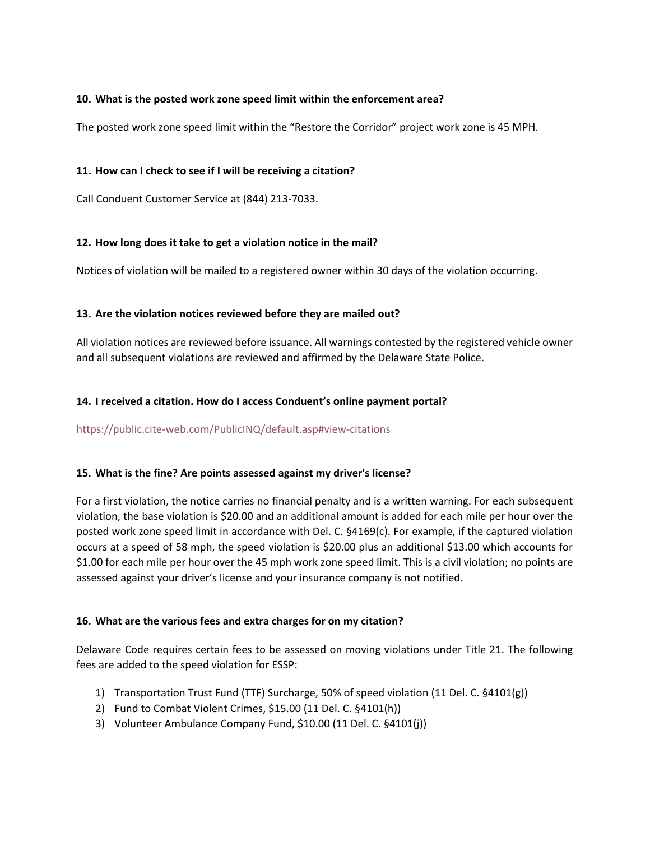## **10. What is the posted work zone speed limit within the enforcement area?**

The posted work zone speed limit within the "Restore the Corridor" project work zone is 45 MPH.

## **11. How can I check to see if I will be receiving a citation?**

Call Conduent Customer Service at (844) 213-7033.

#### **12. How long does it take to get a violation notice in the mail?**

Notices of violation will be mailed to a registered owner within 30 days of the violation occurring.

#### **13. Are the violation notices reviewed before they are mailed out?**

All violation notices are reviewed before issuance. All warnings contested by the registered vehicle owner and all subsequent violations are reviewed and affirmed by the Delaware State Police.

#### **14. I received a citation. How do I access Conduent's online payment portal?**

#### <https://public.cite-web.com/PublicINQ/default.asp#view-citations>

## **15. What is the fine? Are points assessed against my driver's license?**

For a first violation, the notice carries no financial penalty and is a written warning. For each subsequent violation, the base violation is \$20.00 and an additional amount is added for each mile per hour over the posted work zone speed limit in accordance with Del. C. §4169(c). For example, if the captured violation occurs at a speed of 58 mph, the speed violation is \$20.00 plus an additional \$13.00 which accounts for \$1.00 for each mile per hour over the 45 mph work zone speed limit. This is a civil violation; no points are assessed against your driver's license and your insurance company is not notified.

## **16. What are the various fees and extra charges for on my citation?**

Delaware Code requires certain fees to be assessed on moving violations under Title 21. The following fees are added to the speed violation for ESSP:

- 1) Transportation Trust Fund (TTF) Surcharge, 50% of speed violation (11 Del. C. §4101(g))
- 2) Fund to Combat Violent Crimes, \$15.00 (11 Del. C. §4101(h))
- 3) Volunteer Ambulance Company Fund, \$10.00 (11 Del. C. §4101(j))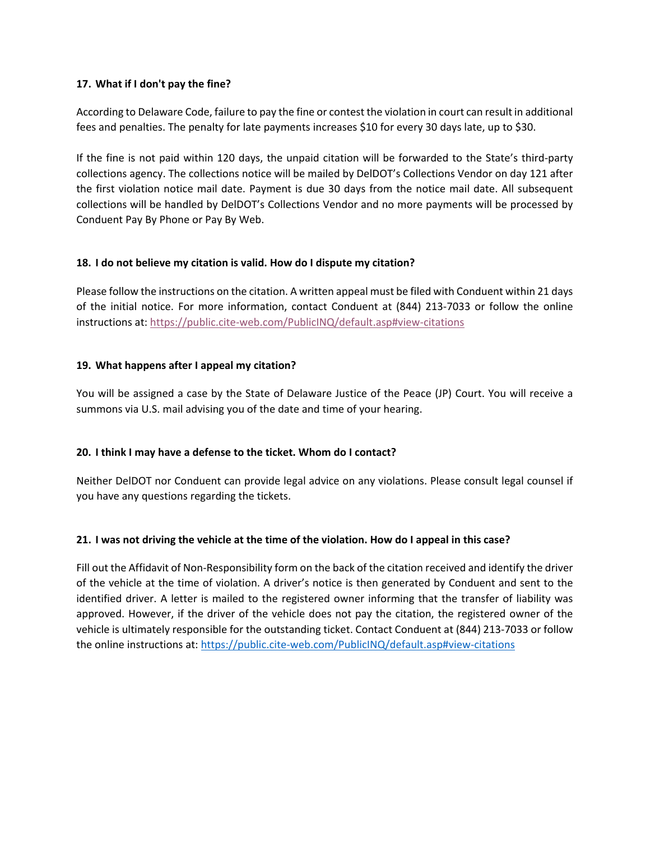## **17. What if I don't pay the fine?**

According to Delaware Code, failure to pay the fine or contest the violation in court can result in additional fees and penalties. The penalty for late payments increases \$10 for every 30 days late, up to \$30.

If the fine is not paid within 120 days, the unpaid citation will be forwarded to the State's third-party collections agency. The collections notice will be mailed by DelDOT's Collections Vendor on day 121 after the first violation notice mail date. Payment is due 30 days from the notice mail date. All subsequent collections will be handled by DelDOT's Collections Vendor and no more payments will be processed by Conduent Pay By Phone or Pay By Web.

## **18. I do not believe my citation is valid. How do I dispute my citation?**

Please follow the instructions on the citation. A written appeal must be filed with Conduent within 21 days of the initial notice. For more information, contact Conduent at (844) 213-7033 or follow the online instructions at[: https://public.cite-web.com/PublicINQ/default.asp#view-citations](https://public.cite-web.com/PublicINQ/default.asp#view-citations)

## **19. What happens after I appeal my citation?**

You will be assigned a case by the State of Delaware Justice of the Peace (JP) Court. You will receive a summons via U.S. mail advising you of the date and time of your hearing.

## **20. I think I may have a defense to the ticket. Whom do I contact?**

Neither DelDOT nor Conduent can provide legal advice on any violations. Please consult legal counsel if you have any questions regarding the tickets.

## **21. I was not driving the vehicle at the time of the violation. How do I appeal in this case?**

Fill out the Affidavit of Non-Responsibility form on the back of the citation received and identify the driver of the vehicle at the time of violation. A driver's notice is then generated by Conduent and sent to the identified driver. A letter is mailed to the registered owner informing that the transfer of liability was approved. However, if the driver of the vehicle does not pay the citation, the registered owner of the vehicle is ultimately responsible for the outstanding ticket. Contact Conduent at (844) 213-7033 or follow the online instructions at:<https://public.cite-web.com/PublicINQ/default.asp#view-citations>